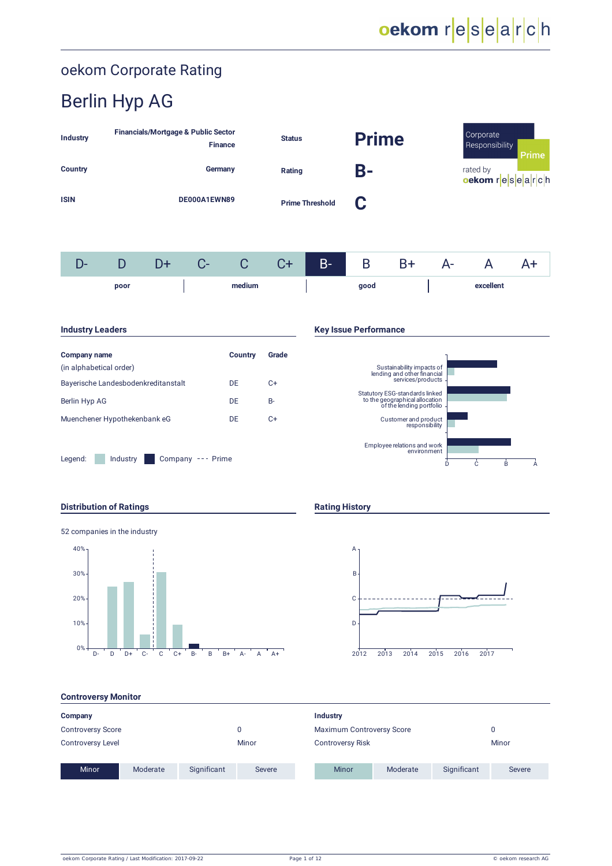# oekom research

## oekom Corporate Rating

# Berlin Hyp AG

| Industry       |              | <b>Financials/Mortgage &amp; Public Sector</b> | <b>Finance</b>         |   | <b>Status</b> |       | <b>Prime</b> |      |          | Corporate<br>Responsibility | Prime |
|----------------|--------------|------------------------------------------------|------------------------|---|---------------|-------|--------------|------|----------|-----------------------------|-------|
| <b>Country</b> |              |                                                | Germany                |   | Rating        |       | B-           |      | rated by | oekom r $ e s e a r c h $   |       |
| <b>ISIN</b>    | DE000A1EWN89 |                                                | <b>Prime Threshold</b> |   | C             |       |              |      |          |                             |       |
| D-             | D            | D+                                             | C-                     | С | $C+$          | $B -$ | B            | $B+$ | A-       |                             | A+    |

|  | poor |  |  | $\sim$ |  |  |
|--|------|--|--|--------|--|--|

| Company name                        | Country | Grade |
|-------------------------------------|---------|-------|
| (in alphabetical order)             |         |       |
| Bayerische Landesbodenkreditanstalt | DE.     | C+    |
| Berlin Hyp AG                       | DF      | B-    |
| Muenchener Hypothekenbank eG        | DF      | $C+$  |
|                                     |         |       |

Legend: Industry Company --- Prime

### **Industry Leaders Key Issue Performance**



### **Distribution of Ratings Rating History**





### **Controversy Monitor**

| Company                  |          |             |        | Industry                  |          |             |               |
|--------------------------|----------|-------------|--------|---------------------------|----------|-------------|---------------|
| <b>Controversy Score</b> |          |             |        | Maximum Controversy Score |          | 0           |               |
| <b>Controversy Level</b> |          |             | Minor  | <b>Controversy Risk</b>   |          |             | Minor         |
| <b>Minor</b>             | Moderate | Significant | Severe | <b>Minor</b>              | Moderate | Significant | <b>Severe</b> |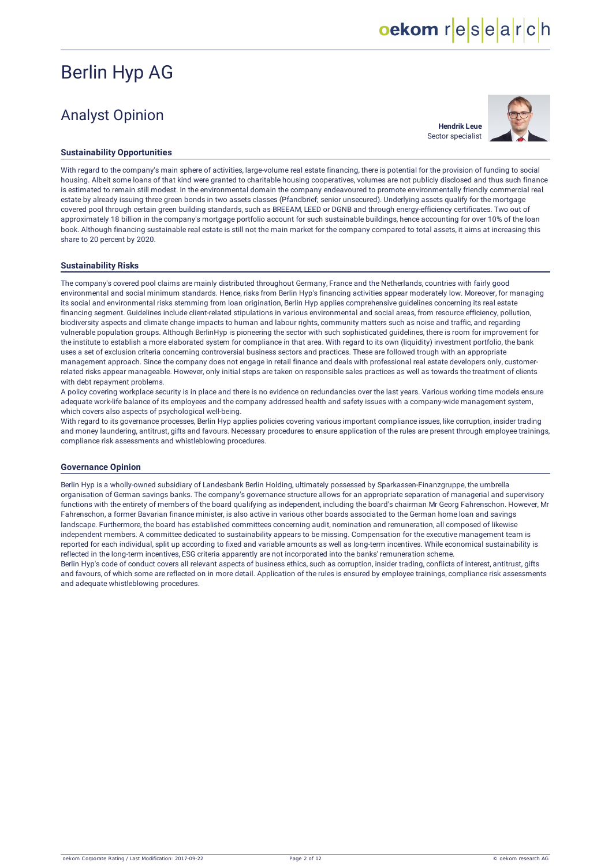## Analyst Opinion

**Hendrik Leue** Sector specialist

oekom research



### **Sustainability Opportunities**

With regard to the company's main sphere of activities, large-volume real estate financing, there is potential for the provision of funding to social housing. Albeit some loans of that kind were granted to charitable housing cooperatives, volumes are not publicly disclosed and thus such finance is estimated to remain still modest. In the environmental domain the company endeavoured to promote environmentally friendly commercial real estate by already issuing three green bonds in two assets classes (Pfandbrief; senior unsecured). Underlying assets qualify for the mortgage covered pool through certain green building standards, such as BREEAM, LEED or DGNB and through energy-efficiency certificates. Two out of approximately 18 billion in the company's mortgage portfolio account for such sustainable buildings, hence accounting for over 10% of the loan book. Although financing sustainable real estate is still not the main market for the company compared to total assets, it aims at increasing this share to 20 percent by 2020.

#### **Sustainability Risks**

The company's covered pool claims are mainly distributed throughout Germany, France and the Netherlands, countries with fairly good environmental and social minimum standards. Hence, risks from Berlin Hyp's financing activities appear moderately low. Moreover, for managing its social and environmental risks stemming from loan origination, Berlin Hyp applies comprehensive guidelines concerning its real estate financing segment. Guidelines include client-related stipulations in various environmental and social areas, from resource efficiency, pollution, biodiversity aspects and climate change impacts to human and labour rights, community matters such as noise and traffic, and regarding vulnerable population groups. Although BerlinHyp is pioneering the sector with such sophisticated guidelines, there is room for improvement for the institute to establish a more elaborated system for compliance in that area. With regard to its own (liquidity) investment portfolio, the bank uses a set of exclusion criteria concerning controversial business sectors and practices. These are followed trough with an appropriate management approach. Since the company does not engage in retail finance and deals with professional real estate developers only, customerrelated risks appear manageable. However, only initial steps are taken on responsible sales practices as well as towards the treatment of clients with debt repayment problems.

A policy covering workplace security is in place and there is no evidence on redundancies over the last years. Various working time models ensure adequate work-life balance of its employees and the company addressed health and safety issues with a company-wide management system, which covers also aspects of psychological well-being.

With regard to its governance processes, Berlin Hyp applies policies covering various important compliance issues, like corruption, insider trading and money laundering, antitrust, gifts and favours. Necessary procedures to ensure application of the rules are present through employee trainings, compliance risk assessments and whistleblowing procedures.

#### **Governance Opinion**

Berlin Hyp is a wholly-owned subsidiary of Landesbank Berlin Holding, ultimately possessed by Sparkassen-Finanzgruppe, the umbrella organisation of German savings banks. The company's governance structure allows for an appropriate separation of managerial and supervisory functions with the entirety of members of the board qualifying as independent, including the board's chairman Mr Georg Fahrenschon. However, Mr Fahrenschon, a former Bavarian finance minister, is also active in various other boards associated to the German home loan and savings landscape. Furthermore, the board has established committees concerning audit, nomination and remuneration, all composed of likewise independent members. A committee dedicated to sustainability appears to be missing. Compensation for the executive management team is reported for each individual, split up according to fixed and variable amounts as well as long-term incentives. While economical sustainability is reflected in the long-term incentives, ESG criteria apparently are not incorporated into the banks' remuneration scheme.

Berlin Hyp's code of conduct covers all relevant aspects of business ethics, such as corruption, insider trading, conflicts of interest, antitrust, gifts and favours, of which some are reflected on in more detail. Application of the rules is ensured by employee trainings, compliance risk assessments and adequate whistleblowing procedures.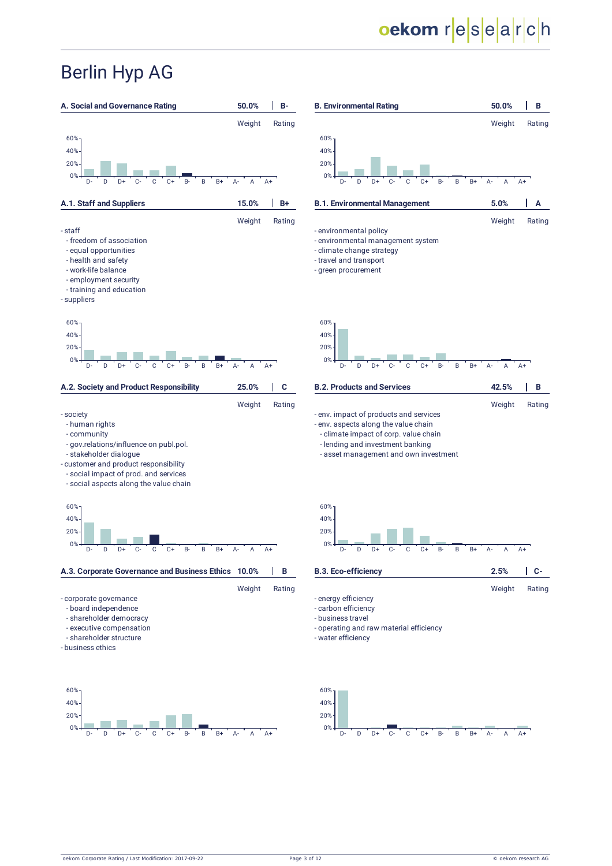# oekom research

Weight Rating

Weight Rating

Weight Rating

Weight Rating

# Berlin Hyp AG

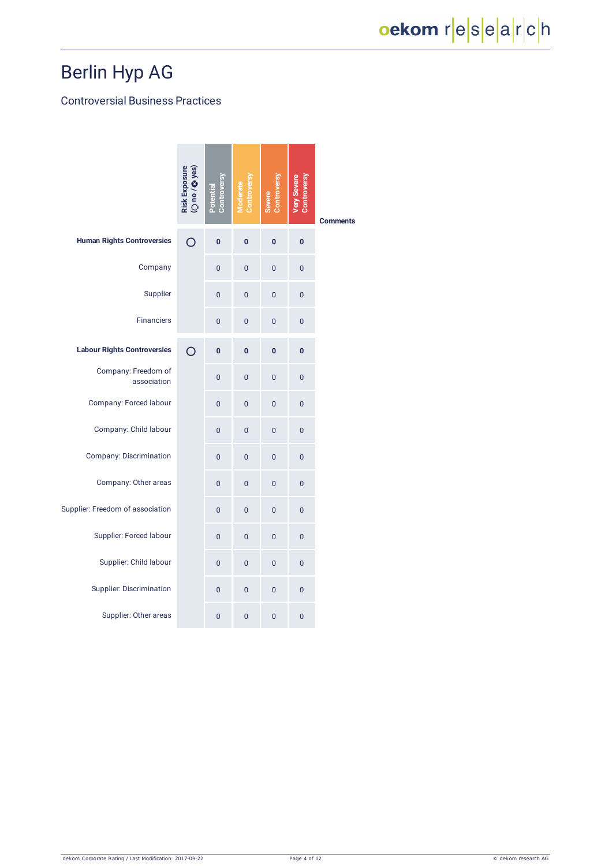### Controversial Business Practices

|                                    | Risk Exposure<br>(O no / © yes) | Controversy<br>Potential | Moderate<br>Controversy | Controversy<br><b>Severe</b> | Very Severe<br>Controversy | <b>Comments</b> |
|------------------------------------|---------------------------------|--------------------------|-------------------------|------------------------------|----------------------------|-----------------|
| <b>Human Rights Controversies</b>  | O                               | 0                        | $\bf{0}$                | $\mathbf{0}$                 | $\bf{0}$                   |                 |
| Company                            |                                 | 0                        | $\overline{0}$          | $\overline{0}$               | $\overline{0}$             |                 |
| Supplier                           |                                 | 0                        | $\overline{0}$          | 0                            | 0                          |                 |
| <b>Financiers</b>                  |                                 | 0                        | 0                       | 0                            | $\mathbf 0$                |                 |
| <b>Labour Rights Controversies</b> | $\overline{O}$                  | $\bf{0}$                 | $\bf{0}$                | $\bf{0}$                     | $\bf{0}$                   |                 |
| Company: Freedom of<br>association |                                 | $\overline{0}$           | $\overline{0}$          | $\overline{0}$               | $\overline{0}$             |                 |
| Company: Forced labour             |                                 | $\overline{0}$           | $\overline{0}$          | 0                            | $\overline{0}$             |                 |
| Company: Child labour              |                                 | $\overline{0}$           | 0                       | 0                            | $\overline{0}$             |                 |
| <b>Company: Discrimination</b>     |                                 | $\overline{0}$           | $\overline{0}$          | $\overline{0}$               | $\overline{0}$             |                 |
| Company: Other areas               |                                 | $\overline{0}$           | $\overline{0}$          | 0                            | $\overline{0}$             |                 |
| Supplier: Freedom of association   |                                 | $\overline{0}$           | $\mathbf 0$             | 0                            | $\mathbf 0$                |                 |
| Supplier: Forced labour            |                                 | $\overline{0}$           | $\overline{0}$          | 0                            | $\overline{0}$             |                 |
| Supplier: Child labour             |                                 | $\overline{0}$           | $\overline{0}$          | $\overline{0}$               | $\mathbf 0$                |                 |
| Supplier: Discrimination           |                                 | $\overline{0}$           | $\overline{0}$          | 0                            | $\overline{0}$             |                 |
| Supplier: Other areas              |                                 | $\overline{0}$           | $\overline{0}$          | $\overline{0}$               | $\overline{0}$             |                 |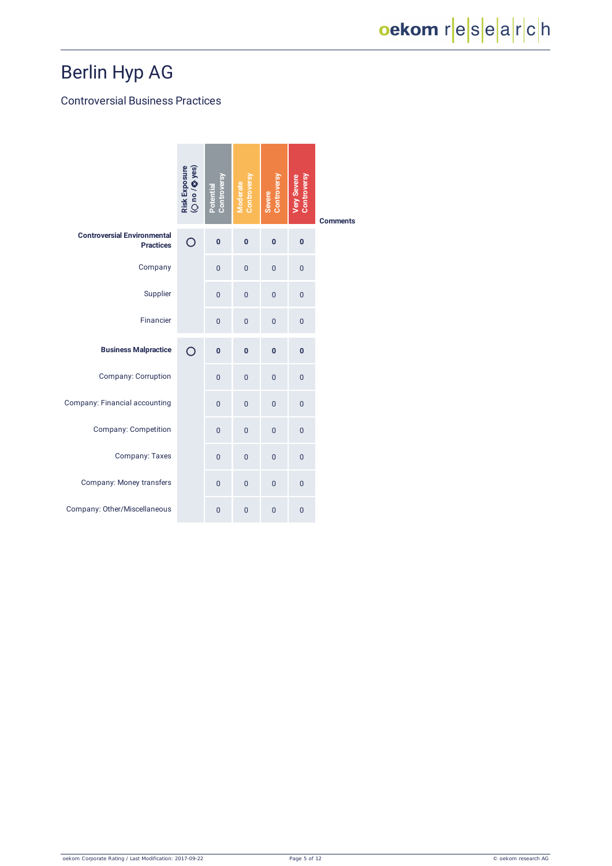### Controversial Business Practices

|                                                        | Risk Exposure<br>(Ono / Q yes) | Controversy<br>Potential | Controversy<br>Moderate | Controversy<br>Severe | Very Severe<br>Controversy | <b>Comments</b> |
|--------------------------------------------------------|--------------------------------|--------------------------|-------------------------|-----------------------|----------------------------|-----------------|
| <b>Controversial Environmental</b><br><b>Practices</b> | O                              | $\bf{0}$                 | $\bf{0}$                | $\mathbf{0}$          | $\pmb{0}$                  |                 |
| Company                                                |                                | $\overline{0}$           | $\overline{0}$          | $\overline{0}$        | $\overline{0}$             |                 |
| Supplier                                               |                                | $\overline{0}$           | $\overline{0}$          | $\overline{0}$        | $\mathbf 0$                |                 |
| Financier                                              |                                | $\overline{0}$           | $\overline{0}$          | $\overline{0}$        | $\mathbf 0$                |                 |
| <b>Business Malpractice</b>                            | $\bigcirc$                     | $\bf{0}$                 | $\mathbf{0}$            | $\mathbf{0}$          | $\mathbf{0}$               |                 |
| <b>Company: Corruption</b>                             |                                | $\overline{0}$           | $\overline{0}$          | $\overline{0}$        | $\overline{0}$             |                 |
| Company: Financial accounting                          |                                | $\overline{0}$           | $\overline{0}$          | $\overline{0}$        | $\overline{0}$             |                 |
| <b>Company: Competition</b>                            |                                | $\overline{0}$           | $\overline{0}$          | $\overline{0}$        | $\overline{0}$             |                 |
| Company: Taxes                                         |                                | $\overline{0}$           | $\overline{0}$          | $\overline{0}$        | $\overline{0}$             |                 |
| Company: Money transfers                               |                                | $\overline{0}$           | $\overline{0}$          | $\overline{0}$        | $\overline{0}$             |                 |
| Company: Other/Miscellaneous                           |                                | $\overline{0}$           | $\overline{0}$          | $\overline{0}$        | $\mathbf 0$                |                 |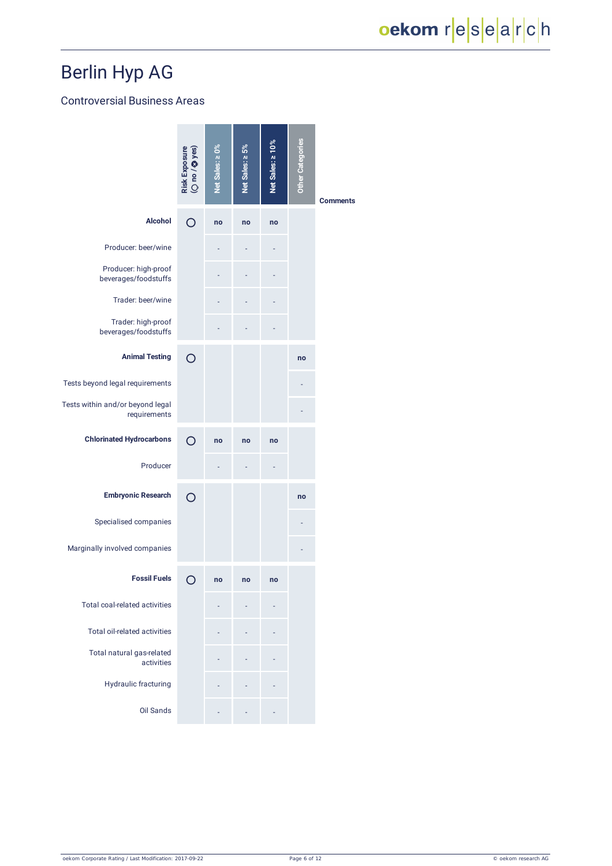### Controversial Business Areas

|                                                  | Risk Exposure<br>(O no / © yes) | Net Sales: 20% | Net Sales: ≥ 5% | Net Sales: 2 10% | <b>Other Categories</b> | <b>Comments</b> |
|--------------------------------------------------|---------------------------------|----------------|-----------------|------------------|-------------------------|-----------------|
| <b>Alcohol</b>                                   | $\bigcirc$                      | no             | no              | no               |                         |                 |
| Producer: beer/wine                              |                                 |                |                 |                  |                         |                 |
| Producer: high-proof<br>beverages/foodstuffs     |                                 |                |                 |                  |                         |                 |
| Trader: beer/wine                                |                                 |                |                 |                  |                         |                 |
| Trader: high-proof<br>beverages/foodstuffs       |                                 |                |                 |                  |                         |                 |
| <b>Animal Testing</b>                            | $\circ$                         |                |                 |                  | no                      |                 |
| Tests beyond legal requirements                  |                                 |                |                 |                  |                         |                 |
| Tests within and/or beyond legal<br>requirements |                                 |                |                 |                  |                         |                 |
| <b>Chlorinated Hydrocarbons</b>                  | ∩                               | no             | no              | no               |                         |                 |
| Producer                                         |                                 |                |                 |                  |                         |                 |
| <b>Embryonic Research</b>                        | $\Omega$                        |                |                 |                  | no                      |                 |
| Specialised companies                            |                                 |                |                 |                  |                         |                 |
| Marginally involved companies                    |                                 |                |                 |                  |                         |                 |
| <b>Fossil Fuels</b>                              | O                               | no             | no              | no               |                         |                 |
| <b>Total coal-related activities</b>             |                                 |                |                 |                  |                         |                 |
| <b>Total oil-related activities</b>              |                                 |                |                 |                  |                         |                 |
| Total natural gas-related<br>activities          |                                 |                |                 |                  |                         |                 |
| Hydraulic fracturing                             |                                 |                |                 |                  |                         |                 |
| Oil Sands                                        |                                 |                |                 |                  |                         |                 |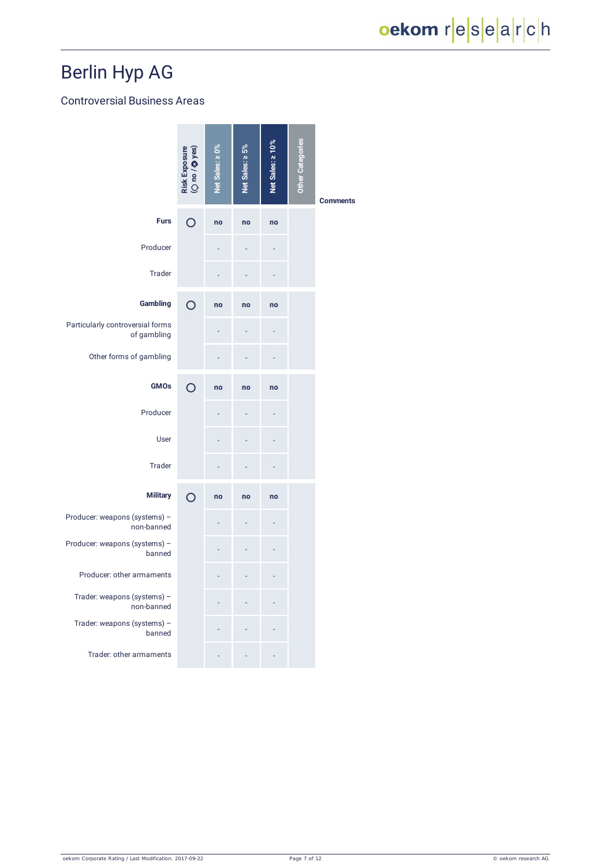### Controversial Business Areas

|                                                 | Risk Exposure<br>(O no / © yes) | Net Sales: ≥ 0% | Net Sales: ≥ 5% | Net Sales: ≥ 10% | <b>Other Categories</b> | <b>Comments</b> |
|-------------------------------------------------|---------------------------------|-----------------|-----------------|------------------|-------------------------|-----------------|
| <b>Furs</b>                                     | $\bigcirc$                      | no              | no              | no               |                         |                 |
| Producer                                        |                                 |                 |                 |                  |                         |                 |
| <b>Trader</b>                                   |                                 |                 |                 |                  |                         |                 |
| Gambling                                        | $\overline{O}$                  | no              | no              | no               |                         |                 |
| Particularly controversial forms<br>of gambling |                                 |                 |                 |                  |                         |                 |
| Other forms of gambling                         |                                 |                 |                 |                  |                         |                 |
| <b>GMOs</b>                                     | $\overline{O}$                  | no              | no              | no               |                         |                 |
| Producer                                        |                                 |                 |                 |                  |                         |                 |
| User                                            |                                 |                 |                 |                  |                         |                 |
| <b>Trader</b>                                   |                                 |                 |                 |                  |                         |                 |
| <b>Military</b>                                 | $\circ$                         | no              | no              | no               |                         |                 |
| Producer: weapons (systems) -                   |                                 |                 |                 |                  |                         |                 |
| non-banned<br>Producer: weapons (systems) -     |                                 |                 |                 |                  |                         |                 |
| banned<br>Producer: other armaments             |                                 |                 |                 |                  |                         |                 |
| Trader: weapons (systems) -                     |                                 |                 |                 |                  |                         |                 |
| non-banned<br>Trader: weapons (systems) -       |                                 |                 |                 |                  |                         |                 |
| banned<br>Trader: other armaments               |                                 |                 |                 |                  |                         |                 |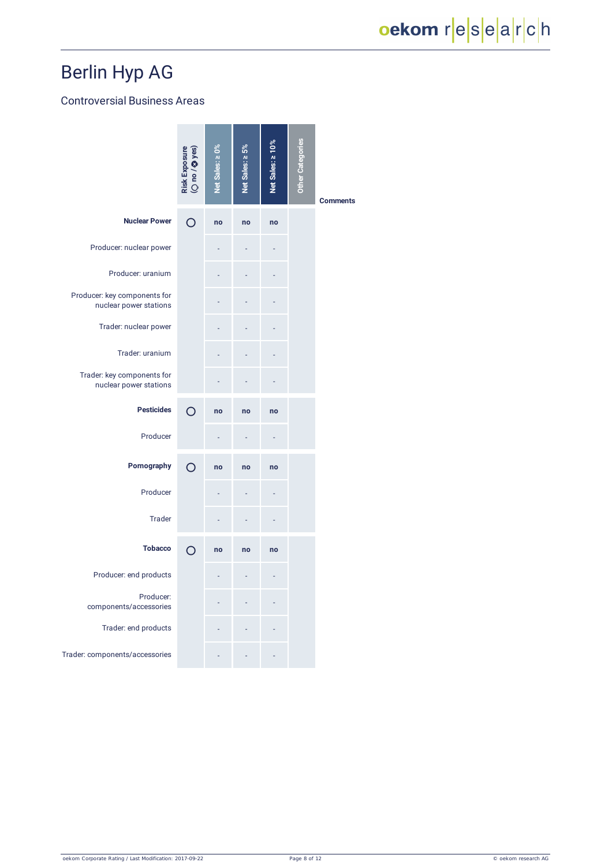### Controversial Business Areas

|                                                        | Risk Exposure<br>(O no / © yes) | Net Sales: ≥ 0% | Net Sales: ≥ 5% | Net Sales: ≥ 10% | <b>Other Categories</b> | <b>Comments</b> |
|--------------------------------------------------------|---------------------------------|-----------------|-----------------|------------------|-------------------------|-----------------|
| <b>Nuclear Power</b>                                   | O                               | no              | no              | no               |                         |                 |
| Producer: nuclear power                                |                                 |                 |                 |                  |                         |                 |
| Producer: uranium                                      |                                 |                 |                 |                  |                         |                 |
| Producer: key components for<br>nuclear power stations |                                 |                 |                 |                  |                         |                 |
| Trader: nuclear power                                  |                                 |                 |                 |                  |                         |                 |
| Trader: uranium                                        |                                 |                 |                 |                  |                         |                 |
| Trader: key components for<br>nuclear power stations   |                                 |                 |                 |                  |                         |                 |
| <b>Pesticides</b>                                      | ∩                               | no              | no              | no               |                         |                 |
| Producer                                               |                                 |                 |                 |                  |                         |                 |
| Pornography                                            | $\bigcirc$                      | no              | no              | no               |                         |                 |
| Producer                                               |                                 |                 |                 |                  |                         |                 |
| <b>Trader</b>                                          |                                 |                 |                 |                  |                         |                 |
| <b>Tobacco</b>                                         | $\Omega$                        | no              | no              | no               |                         |                 |
| Producer: end products                                 |                                 |                 |                 |                  |                         |                 |
| Producer:<br>components/accessories                    |                                 |                 |                 |                  |                         |                 |
| Trader: end products                                   |                                 |                 |                 |                  |                         |                 |
| Trader: components/accessories                         |                                 |                 |                 |                  |                         |                 |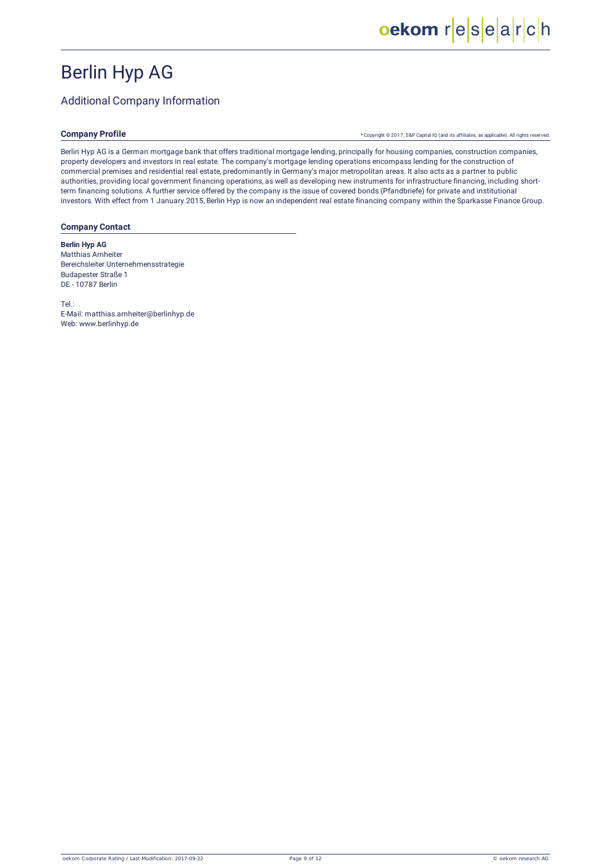### Additional Company Information

### **Company Profile**

\* Copyright © 2017, S&P Capital IQ (and its affiliates, as [applicable\).](http://oekom-research.com/index_en.php?content=disclaimer_s_p) All rights reserved.

Berlin Hyp AG is a German mortgage bank that offers traditional mortgage lending, principally for housing companies, construction companies, property developers and investors in real estate. The company's mortgage lending operations encompass lending for the construction of commercial premises and residential real estate, predominantly in Germany's major metropolitan areas. It also acts as a partner to public authorities, providing local government financing operations, as well as developing new instruments for infrastructure financing, including shortterm financing solutions. A further service offered by the company is the issue of covered bonds (Pfandbriefe) for private and institutional investors. With effect from 1 January 2015, Berlin Hyp is now an independent real estate financing company within the Sparkasse Finance Group.

#### **Company Contact**

#### **Berlin Hyp AG** Matthias Arnheiter Bereichsleiter Unternehmensstrategie Budapester Straße 1 DE - 10787 Berlin

Tel.: E-Mail: matthias.arnheiter@berlinhyp.de Web: www.berlinhyp.de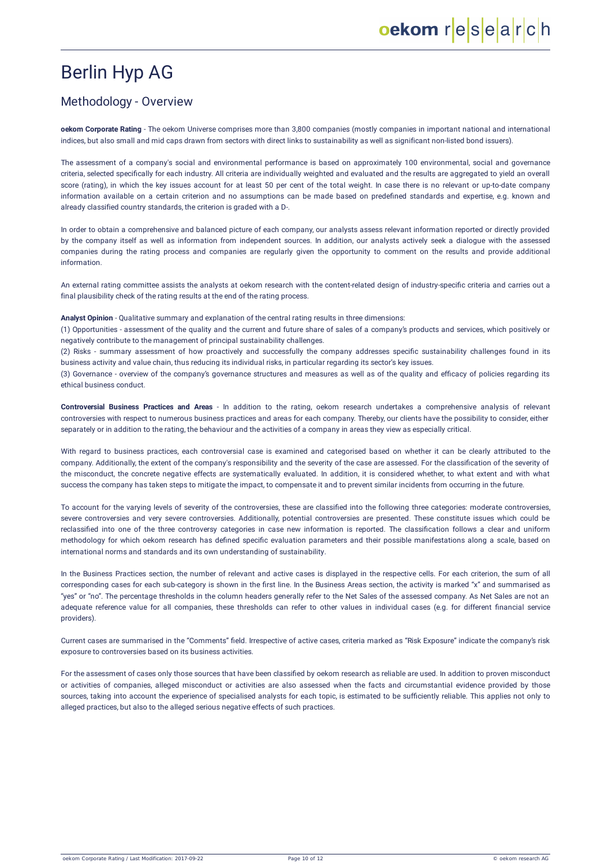### Methodology - Overview

**oekom Corporate Rating** - The oekom Universe comprises more than 3,800 companies (mostly companies in important national and international indices, but also small and mid caps drawn from sectors with direct links to sustainability as well as significant non-listed bond issuers).

The assessment of a company's social and environmental performance is based on approximately 100 environmental, social and governance criteria, selected specifically for each industry. All criteria are individually weighted and evaluated and the results are aggregated to yield an overall score (rating), in which the key issues account for at least 50 per cent of the total weight. In case there is no relevant or up-to-date company information available on a certain criterion and no assumptions can be made based on predefined standards and expertise, e.g. known and already classified country standards, the criterion is graded with a D-.

In order to obtain a comprehensive and balanced picture of each company, our analysts assess relevant information reported or directly provided by the company itself as well as information from independent sources. In addition, our analysts actively seek a dialogue with the assessed companies during the rating process and companies are regularly given the opportunity to comment on the results and provide additional information.

An external rating committee assists the analysts at oekom research with the content-related design of industry-specific criteria and carries out a final plausibility check of the rating results at the end of the rating process.

**Analyst Opinion** - Qualitative summary and explanation of the central rating results in three dimensions:

(1) Opportunities - assessment of the quality and the current and future share of sales of a company's products and services, which positively or negatively contribute to the management of principal sustainability challenges.

(2) Risks - summary assessment of how proactively and successfully the company addresses specific sustainability challenges found in its business activity and value chain, thus reducing its individual risks, in particular regarding its sector's key issues.

(3) Governance - overview of the company's governance structures and measures as well as of the quality and efficacy of policies regarding its ethical business conduct.

**Controversial Business Practices and Areas** - In addition to the rating, oekom research undertakes a comprehensive analysis of relevant controversies with respect to numerous business practices and areas for each company. Thereby, our clients have the possibility to consider, either separately or in addition to the rating, the behaviour and the activities of a company in areas they view as especially critical.

With regard to business practices, each controversial case is examined and categorised based on whether it can be clearly attributed to the company. Additionally, the extent of the company's responsibility and the severity of the case are assessed. For the classification of the severity of the misconduct, the concrete negative effects are systematically evaluated. In addition, it is considered whether, to what extent and with what success the company has taken steps to mitigate the impact, to compensate it and to prevent similar incidents from occurring in the future.

To account for the varying levels of severity of the controversies, these are classified into the following three categories: moderate controversies, severe controversies and very severe controversies. Additionally, potential controversies are presented. These constitute issues which could be reclassified into one of the three controversy categories in case new information is reported. The classification follows a clear and uniform methodology for which oekom research has defined specific evaluation parameters and their possible manifestations along a scale, based on international norms and standards and its own understanding of sustainability.

In the Business Practices section, the number of relevant and active cases is displayed in the respective cells. For each criterion, the sum of all corresponding cases for each sub-category is shown in the first line. In the Business Areas section, the activity is marked "x" and summarised as "yes" or "no". The percentage thresholds in the column headers generally refer to the Net Sales of the assessed company. As Net Sales are not an adequate reference value for all companies, these thresholds can refer to other values in individual cases (e.g. for different financial service providers).

Current cases are summarised in the "Comments" field. Irrespective of active cases, criteria marked as "Risk Exposure" indicate the company's risk exposure to controversies based on its business activities.

For the assessment of cases only those sources that have been classified by oekom research as reliable are used. In addition to proven misconduct or activities of companies, alleged misconduct or activities are also assessed when the facts and circumstantial evidence provided by those sources, taking into account the experience of specialised analysts for each topic, is estimated to be sufficiently reliable. This applies not only to alleged practices, but also to the alleged serious negative effects of such practices.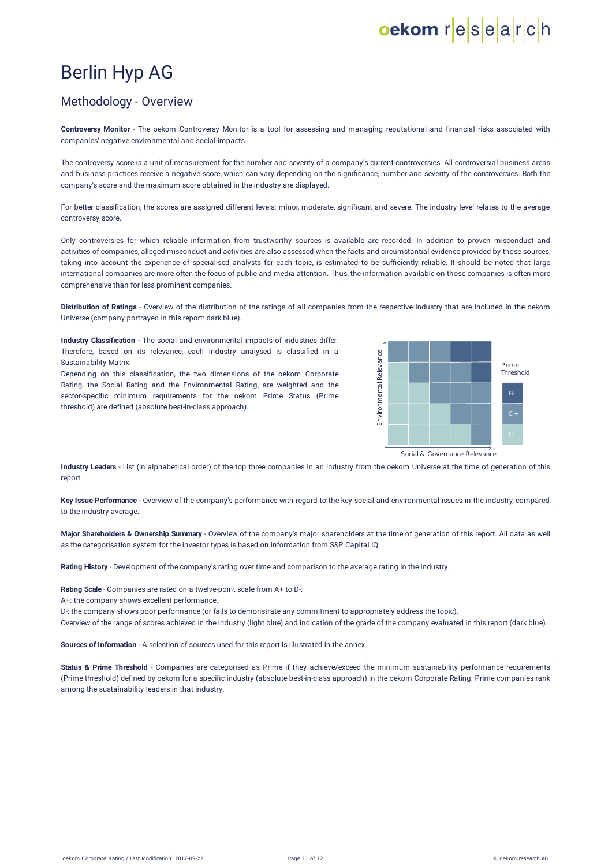### Methodology - Overview

**Controversy Monitor** - The oekom Controversy Monitor is a tool for assessing and managing reputational and financial risks associated with companies' negative environmental and social impacts.

The controversy score is a unit of measurement for the number and severity of a company's current controversies. All controversial business areas and business practices receive a negative score, which can vary depending on the significance, number and severity of the controversies. Both the company's score and the maximum score obtained in the industry are displayed.

For better classification, the scores are assigned different levels: minor, moderate, significant and severe. The industry level relates to the average controversy score.

Only controversies for which reliable information from trustworthy sources is available are recorded. In addition to proven misconduct and activities of companies, alleged misconduct and activities are also assessed when the facts and circumstantial evidence provided by those sources, taking into account the experience of specialised analysts for each topic, is estimated to be sufficiently reliable. It should be noted that large international companies are more often the focus of public and media attention. Thus, the information available on those companies is often more comprehensive than for less prominent companies.

**Distribution of Ratings** - Overview of the distribution of the ratings of all companies from the respective industry that are included in the oekom Universe (company portrayed in this report: dark blue).

**Industry Classification** - The social and environmental impacts of industries differ. Therefore, based on its relevance, each industry analysed is classified in a Sustainability Matrix.

Depending on this classification, the two dimensions of the oekom Corporate Rating, the Social Rating and the Environmental Rating, are weighted and the sector-specific minimum requirements for the oekom Prime Status (Prime threshold) are defined (absolute best-in-class approach).



**Industry Leaders** - List (in alphabetical order) of the top three companies in an industry from the oekom Universe at the time of generation of this report.

**Key Issue Performance** - Overview of the company's performance with regard to the key social and environmental issues in the industry, compared to the industry average.

**Major Shareholders & Ownership Summary** - Overview of the company's major shareholders at the time of generation of this report. All data as well as the categorisation system for the investor types is based on information from S&P [Capital](http://oekom-research.com/index_en.php?content=disclaimer_s_p) IQ.

**Rating History** - Development of the company's rating over time and comparison to the average rating in the industry.

**Rating Scale** - Companies are rated on a twelve-point scale from A+ to D-:

A+: the company shows excellent performance.

D-: the company shows poor performance (or fails to demonstrate any commitment to appropriately address the topic).

Overview of the range of scores achieved in the industry (light blue) and indication of the grade of the company evaluated in this report (dark blue).

**Sources of Information** - A selection of sources used for this report is illustrated in the annex.

**Status & Prime Threshold** - Companies are categorised as Prime if they achieve/exceed the minimum sustainability performance requirements (Prime threshold) defined by oekom for a specific industry (absolute best-in-class approach) in the oekom Corporate Rating. Prime companies rank among the sustainability leaders in that industry.